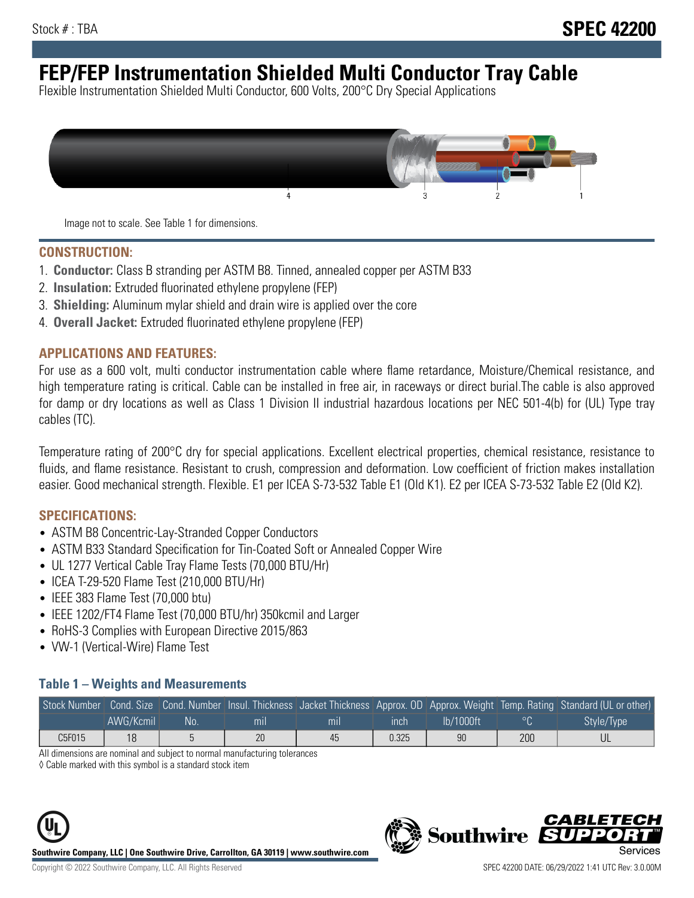# **FEP/FEP Instrumentation Shielded Multi Conductor Tray Cable**

Flexible Instrumentation Shielded Multi Conductor, 600 Volts, 200°C Dry Special Applications



Image not to scale. See Table 1 for dimensions.

#### **CONSTRUCTION:**

- 1. **Conductor:** Class B stranding per ASTM B8. Tinned, annealed copper per ASTM B33
- 2. **Insulation:** Extruded fluorinated ethylene propylene (FEP)
- 3. **Shielding:** Aluminum mylar shield and drain wire is applied over the core
- 4. **Overall Jacket:** Extruded fluorinated ethylene propylene (FEP)

#### **APPLICATIONS AND FEATURES:**

For use as a 600 volt, multi conductor instrumentation cable where flame retardance, Moisture/Chemical resistance, and high temperature rating is critical. Cable can be installed in free air, in raceways or direct burial.The cable is also approved for damp or dry locations as well as Class 1 Division II industrial hazardous locations per NEC 501-4(b) for (UL) Type tray cables (TC).

Temperature rating of 200°C dry for special applications. Excellent electrical properties, chemical resistance, resistance to fluids, and flame resistance. Resistant to crush, compression and deformation. Low coefficient of friction makes installation easier. Good mechanical strength. Flexible. E1 per ICEA S-73-532 Table E1 (Old K1). E2 per ICEA S-73-532 Table E2 (Old K2).

#### **SPECIFICATIONS:**

- ASTM B8 Concentric-Lay-Stranded Copper Conductors
- ASTM B33 Standard Specification for Tin-Coated Soft or Annealed Copper Wire
- UL 1277 Vertical Cable Tray Flame Tests (70,000 BTU/Hr)
- ICEA T-29-520 Flame Test (210,000 BTU/Hr)
- IEEE 383 Flame Test (70,000 btu)
- IEEE 1202/FT4 Flame Test (70,000 BTU/hr) 350kcmil and Larger
- RoHS-3 Complies with European Directive 2015/863
- VW-1 (Vertical-Wire) Flame Test

#### **Table 1 – Weights and Measurements**

|        |           |    |                |     |             |           |     | Stock Number Cond. Size Cond. Number Insul. Thickness Jacket Thickness Approx. OD Approx. Weight Temp. Rating Standard (UL or other) |
|--------|-----------|----|----------------|-----|-------------|-----------|-----|--------------------------------------------------------------------------------------------------------------------------------------|
|        | AWG/Kcmil | No | m <sub>l</sub> | mil | <b>inch</b> | Ib/1000ft |     | Style/Type                                                                                                                           |
| C5F015 | 18        |    | 20             | 45  | 0.325       | 90        | 200 |                                                                                                                                      |

All dimensions are nominal and subject to normal manufacturing tolerances

◊ Cable marked with this symbol is a standard stock item





CARLET